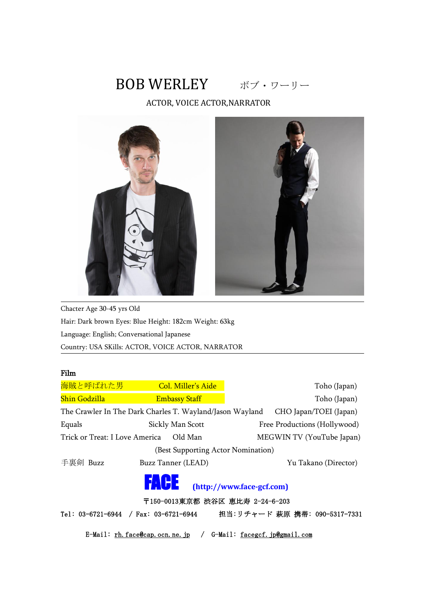# BOB WERLEY ボブ・ワーリー

ACTOR, VOICE ACTOR,NARRATOR



Chacter Age 30-45 yrs Old Hair: Dark brown Eyes: Blue Height: 182cm Weight: 63kg Language: English; Conversational Japanese Country: USA SKills: ACTOR, VOICE ACTOR, NARRATOR

### Film

| 海賊と呼ばれた男                                  | Col. Miller's Aide                                       | Toho (Japan)                  |
|-------------------------------------------|----------------------------------------------------------|-------------------------------|
| <b>Shin Godzilla</b>                      | <b>Embassy Staff</b>                                     | Toho (Japan)                  |
|                                           | The Crawler In The Dark Charles T. Wayland/Jason Wayland | CHO Japan/TOEI (Japan)        |
| Equals                                    | Sickly Man Scott                                         | Free Productions (Hollywood)  |
| Trick or Treat: I Love America            | Old Man                                                  | MEGWIN TV (YouTube Japan)     |
|                                           | (Best Supporting Actor Nomination)                       |                               |
| 手裏剣 Buzz                                  | Buzz Tanner (LEAD)                                       | Yu Takano (Director)          |
|                                           | 17. LE 3                                                 | (http://www.face-gcf.com)     |
|                                           | 〒150-0013東京都 渋谷区 恵比寿 2-24-6-203                          |                               |
| Tel: $03-6721-6944$ / Fax: $03-6721-6944$ |                                                          | 担当:リチャード 萩原 携帯: 090-5317-7331 |
|                                           | E-Mail: $\underline{\text{rh. face}}$ @eap.ocn.ne.jp /   | G-Mail: facegcf. jp@gmail.com |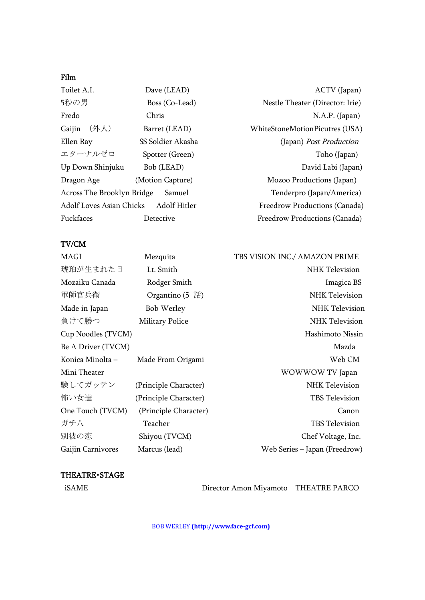## Film

| Toilet A.I.                           | Dave (LEAD)       |
|---------------------------------------|-------------------|
| 5秒の男                                  | Boss (Co-Lead)    |
| Fredo                                 | Chris             |
| Gaijin (外人)                           | Barret (LEAD)     |
| Ellen Ray                             | SS Soldier Akasha |
| エターナルゼロ                               | Spotter (Green)   |
| Up Down Shinjuku                      | Bob (LEAD)        |
| Dragon Age                            | (Motion Capture)  |
| Across The Brooklyn Bridge Samuel     |                   |
| Adolf Loves Asian Chicks Adolf Hitler |                   |
| Fuckfaces                             | Detective         |

ACTV (Japan) Nestle Theater (Director: Irie) N.A.P. (Japan) WhiteStoneMotionPicutres (USA) (Japan) Post Production Toho (Japan) David Labi (Japan) Mozoo Productions (Japan) Tenderpro (Japan/America) Freedrow Productions (Canada) Freedrow Productions (Canada)

#### TV/CM

| MAGI               | Mezquita                               | TBS VISION INC./ AMAZON PRIME |
|--------------------|----------------------------------------|-------------------------------|
| 琥珀が生まれた日           | Lt. Smith                              | NHK Television                |
| Mozaiku Canada     | Rodger Smith                           | Imagica BS                    |
| 軍師官兵衛              | Organtino $(5 \text{ } \overline{24})$ | NHK Television                |
| Made in Japan      | Bob Werley                             | NHK Television                |
| 負けて勝つ              | <b>Military Police</b>                 | <b>NHK Television</b>         |
| Cup Noodles (TVCM) |                                        | Hashimoto Nissin              |
| Be A Driver (TVCM) |                                        | Mazda                         |
| Konica Minolta -   | Made From Origami                      | Web CM                        |
| Mini Theater       |                                        | WOWWOW TV Japan               |
| 験してガッテン            | (Principle Character)                  | NHK Television                |
| 怖い女達               | (Principle Character)                  | TBS Television                |
| One Touch (TVCM)   | (Principle Character)                  | Canon                         |
| ガチ八                | Teacher                                | <b>TBS</b> Television         |
| 別彼の恋               | Shiyou (TVCM)                          | Chef Voltage, Inc.            |
| Gaijin Carnivores  | Marcus (lead)                          | Web Series – Japan (Freedrow) |

#### THEATRE・STAGE

iSAME Director Amon Miyamoto THEATRE PARCO

BOB WERLEY **(http://www.face-gcf.com)**